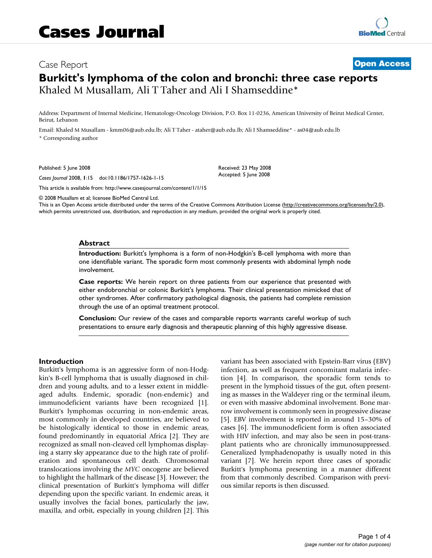# Case Report **[Open Access](http://www.biomedcentral.com/info/about/charter/) Burkitt's lymphoma of the colon and bronchi: three case reports** Khaled M Musallam, Ali T Taher and Ali I Shamseddine\*

Address: Department of Internal Medicine, Hematology-Oncology Division, P.O. Box 11-0236, American University of Beirut Medical Center, Beirut, Lebanon

Email: Khaled M Musallam - kmm06@aub.edu.lb; Ali T Taher - ataher@aub.edu.lb; Ali I Shamseddine\* - as04@aub.edu.lb \* Corresponding author

Published: 5 June 2008

*Cases Journal* 2008, **1**:15 doi:10.1186/1757-1626-1-15

[This article is available from: http://www.casesjournal.com/content/1/1/15](http://www.casesjournal.com/content/1/1/15)

© 2008 Musallam et al; licensee BioMed Central Ltd.

This is an Open Access article distributed under the terms of the Creative Commons Attribution License [\(http://creativecommons.org/licenses/by/2.0\)](http://creativecommons.org/licenses/by/2.0), which permits unrestricted use, distribution, and reproduction in any medium, provided the original work is properly cited.

Received: 23 May 2008 Accepted: 5 June 2008

#### **Abstract**

**Introduction:** Burkitt's lymphoma is a form of non-Hodgkin's B-cell lymphoma with more than one identifiable variant. The sporadic form most commonly presents with abdominal lymph node involvement.

**Case reports:** We herein report on three patients from our experience that presented with either endobronchial or colonic Burkitt's lymphoma. Their clinical presentation mimicked that of other syndromes. After confirmatory pathological diagnosis, the patients had complete remission through the use of an optimal treatment protocol.

**Conclusion:** Our review of the cases and comparable reports warrants careful workup of such presentations to ensure early diagnosis and therapeutic planning of this highly aggressive disease.

#### **Introduction**

Burkitt's lymphoma is an aggressive form of non-Hodgkin's B-cell lymphoma that is usually diagnosed in children and young adults, and to a lesser extent in middleaged adults. Endemic, sporadic (non-endemic) and immunodeficient variants have been recognized [1]. Burkitt's lymphomas occurring in non-endemic areas, most commonly in developed countries, are believed to be histologically identical to those in endemic areas, found predominantly in equatorial Africa [2]. They are recognized as small non-cleaved cell lymphomas displaying a starry sky appearance due to the high rate of proliferation and spontaneous cell death. Chromosomal translocations involving the *MYC* oncogene are believed to highlight the hallmark of the disease [3]. However; the clinical presentation of Burkitt's lymphoma will differ depending upon the specific variant. In endemic areas, it usually involves the facial bones, particularly the jaw, maxilla, and orbit, especially in young children [2]. This variant has been associated with Epstein-Barr virus (EBV) infection, as well as frequent concomitant malaria infection [4]. In comparison, the sporadic form tends to present in the lymphoid tissues of the gut, often presenting as masses in the Waldeyer ring or the terminal ileum, or even with massive abdominal involvement. Bone marrow involvement is commonly seen in progressive disease [5]. EBV involvement is reported in around 15–30% of cases [6]. The immunodeficient form is often associated with HIV infection, and may also be seen in post-transplant patients who are chronically immunosuppressed. Generalized lymphadenopathy is usually noted in this variant [7]. We herein report three cases of sporadic Burkitt's lymphoma presenting in a manner different from that commonly described. Comparison with previous similar reports is then discussed.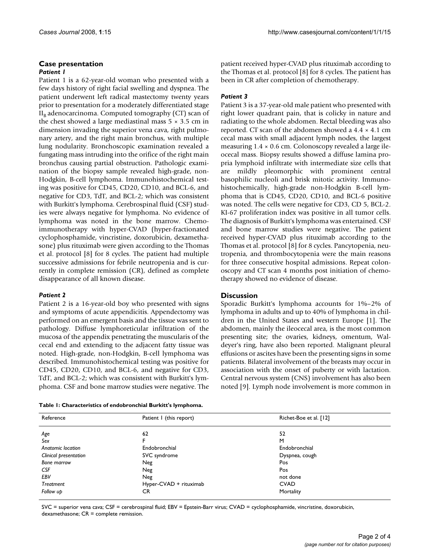# **Case presentation**

#### *Patient 1*

Patient 1 is a 62-year-old woman who presented with a few days history of right facial swelling and dyspnea. The patient underwent left radical mastectomy twenty years prior to presentation for a moderately differentiated stage  $II<sub>B</sub>$  adenocarcinoma. Computed tomography (CT) scan of the chest showed a large mediastinal mass  $5 \times 3.5$  cm in dimension invading the superior vena cava, right pulmonary artery, and the right main bronchus, with multiple lung nodularity. Bronchoscopic examination revealed a fungating mass intruding into the orifice of the right main bronchus causing partial obstruction. Pathologic examination of the biopsy sample revealed high-grade, non-Hodgkin, B-cell lymphoma. Immunohistochemical testing was positive for CD45, CD20, CD10, and BCL-6, and negative for CD3, TdT, and BCL-2; which was consistent with Burkitt's lymphoma. Cerebrospinal fluid (CSF) studies were always negative for lymphoma. No evidence of lymphoma was noted in the bone marrow. Chemoimmunotherapy with hyper-CVAD (hyper-fractionated cyclophosphamide, vincristine, doxorubicin, dexamethasone) plus rituximab were given according to the Thomas et al. protocol [8] for 8 cycles. The patient had multiple successive admissions for febrile neutropenia and is currently in complete remission (CR), defined as complete disappearance of all known disease.

## *Patient 2*

Patient 2 is a 16-year-old boy who presented with signs and symptoms of acute appendicitis. Appendectomy was performed on an emergent basis and the tissue was sent to pathology. Diffuse lymphoreticular infiltration of the mucosa of the appendix penetrating the muscularis of the cecal end and extending to the adjacent fatty tissue was noted. High-grade, non-Hodgkin, B-cell lymphoma was described. Immunohistochemical testing was positive for CD45, CD20, CD10, and BCL-6, and negative for CD3, TdT, and BCL-2; which was consistent with Burkitt's lymphoma. CSF and bone marrow studies were negative. The

**Table 1: Characteristics of endobronchial Burkitt's lymphoma.**

patient received hyper-CVAD plus rituximab according to the Thomas et al. protocol [8] for 8 cycles. The patient has been in CR after completion of chemotherapy.

## *Patient 3*

Patient 3 is a 37-year-old male patient who presented with right lower quadrant pain, that is colicky in nature and radiating to the whole abdomen. Rectal bleeding was also reported. CT scan of the abdomen showed a  $4.4 \times 4.1$  cm cecal mass with small adjacent lymph nodes, the largest measuring 1.4 × 0.6 cm. Colonoscopy revealed a large ileocecal mass. Biopsy results showed a diffuse lamina propria lymphoid infiltrate with intermediate size cells that are mildly pleomorphic with prominent central basophilic nucleoli and brisk mitotic activity. Immunohistochemically, high-grade non-Hodgkin B-cell lymphoma that is CD45, CD20, CD10, and BCL-6 positive was noted. The cells were negative for CD3, CD 5, BCL-2. KI-67 proliferation index was positive in all tumor cells. The diagnosis of Burkitt's lymphoma was entertained. CSF and bone marrow studies were negative. The patient received hyper-CVAD plus rituximab according to the Thomas et al. protocol [8] for 8 cycles. Pancytopenia, neutropenia, and thrombocytopenia were the main reasons for three consecutive hospital admissions. Repeat colonoscopy and CT scan 4 months post initiation of chemotherapy showed no evidence of disease.

## **Discussion**

Sporadic Burkitt's lymphoma accounts for 1%–2% of lymphoma in adults and up to 40% of lymphoma in children in the United States and western Europe [1]. The abdomen, mainly the ileocecal area, is the most common presenting site; the ovaries, kidneys, omentum, Waldeyer's ring, have also been reported. Malignant pleural effusions or ascites have been the presenting signs in some patients. Bilateral involvement of the breasts may occur in association with the onset of puberty or with lactation. Central nervous system (CNS) involvement has also been noted [9]. Lymph node involvement is more common in

| Reference                    | Patient I (this report) | Richet-Boe et al. [12] |  |
|------------------------------|-------------------------|------------------------|--|
| Age                          | 62                      | 52                     |  |
| Sex                          |                         | M                      |  |
| Anatomic location            | Endobronchial           | Endobronchial          |  |
| <b>Clinical presentation</b> | SVC syndrome            | Dyspnea, cough         |  |
| Bone marrow                  | <b>Neg</b>              | Pos                    |  |
| <b>CSF</b>                   | Neg                     | Pos                    |  |
| EBV                          | Neg                     | not done               |  |
| <b>Treatment</b>             | Hyper-CVAD + rituximab  | <b>CVAD</b>            |  |
| Follow up<br>CR              |                         | Mortality              |  |

SVC = superior vena cava; CSF = cerebrospinal fluid; EBV = Epstein-Barr virus; CVAD = cyclophosphamide, vincristine, doxorubicin, dexamethasone; CR = complete remission.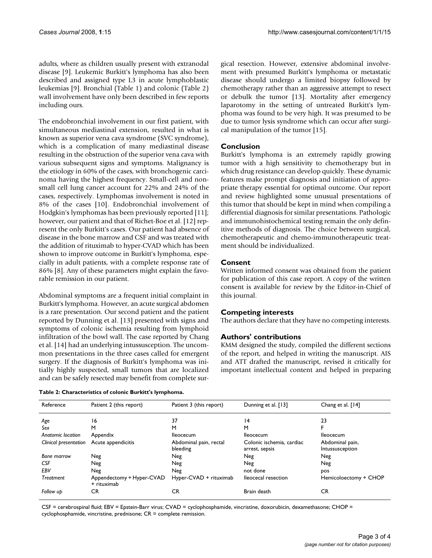adults, where as children usually present with extranodal disease [9]. Leukemic Burkitt's lymphoma has also been described and assigned type L3 in acute lymphoblastic leukemias [9]. Bronchial (Table 1) and colonic (Table 2) wall involvement have only been described in few reports including ours.

The endobronchial involvement in our first patient, with simultaneous mediastinal extension, resulted in what is known as superior vena cava syndrome (SVC syndrome), which is a complication of many mediastinal disease resulting in the obstruction of the superior vena cava with various subsequent signs and symptoms. Malignancy is the etiology in 60% of the cases, with bronchogenic carcinoma having the highest frequency. Small-cell and nonsmall cell lung cancer account for 22% and 24% of the cases, respectively. Lymphomas involvement is noted in 8% of the cases [10]. Endobronchial involvement of Hodgkin's lymphomas has been previously reported [11]; however, our patient and that of Richet-Boe et al. [12] represent the only Burkitt's cases. Our patient had absence of disease in the bone marrow and CSF and was treated with the addition of rituximab to hyper-CVAD which has been shown to improve outcome in Burkitt's lymphoma, especially in adult patients, with a complete response rate of 86% [8]. Any of these parameters might explain the favorable remission in our patient.

Abdominal symptoms are a frequent initial complaint in Burkitt's lymphoma. However, an acute surgical abdomen is a rare presentation. Our second patient and the patient reported by Dunning et al. [13] presented with signs and symptoms of colonic ischemia resulting from lymphoid infiltration of the bowl wall. The case reported by Chang et al. [14] had an underlying intussusception. The uncommon presentations in the three cases called for emergent surgery. If the diagnosis of Burkitt's lymphoma was initially highly suspected, small tumors that are localized and can be safely resected may benefit from complete sur-

**Table 2: Characteristics of colonic Burkitt's lymphoma.**

gical resection. However, extensive abdominal involvement with presumed Burkitt's lymphoma or metastatic disease should undergo a limited biopsy followed by chemotherapy rather than an aggressive attempt to resect or debulk the tumor [13]. Mortality after emergency laparotomy in the setting of untreated Burkitt's lymphoma was found to be very high. It was presumed to be due to tumor lysis syndrome which can occur after surgical manipulation of the tumor [15].

# **Conclusion**

Burkitt's lymphoma is an extremely rapidly growing tumor with a high sensitivity to chemotherapy but in which drug resistance can develop quickly. These dynamic features make prompt diagnosis and initiation of appropriate therapy essential for optimal outcome. Our report and review highlighted some unusual presentations of this tumor that should be kept in mind when compiling a differential diagnosis for similar presentations. Pathologic and immunohistochemical testing remain the only definitive methods of diagnosis. The choice between surgical, chemotherapeutic and chemo-immunotherapeutic treatment should be individualized.

# **Consent**

Written informed consent was obtained from the patient for publication of this case report. A copy of the written consent is available for review by the Editor-in-Chief of this journal.

# **Competing interests**

The authors declare that they have no competing interests.

## **Authors' contributions**

KMM designed the study, compiled the different sections of the report, and helped in writing the manuscript. AIS and ATT drafted the manuscript, revised it critically for important intellectual content and helped in preparing

| Reference             | Patient 2 (this report)                  | Patient 3 (this report)            | Dunning et al. [13]                         | Chang et al. [14]                  |
|-----------------------|------------------------------------------|------------------------------------|---------------------------------------------|------------------------------------|
| Age                   | 16                                       | 37                                 | 14                                          | 23                                 |
| Sex                   | м                                        | M                                  | M                                           |                                    |
| Anatomic location     | Appendix                                 | <b>Ileocecum</b>                   | lleocecum                                   | lleocecum                          |
| Clinical presentation | Acute appendicitis                       | Abdominal pain, rectal<br>bleeding | Colonic ischemia, cardiac<br>arrest, sepsis | Abdominal pain,<br>Intussusception |
| Bone marrow           | Neg                                      | Neg                                | Neg                                         | Neg                                |
| <b>CSF</b>            | Neg                                      | Neg                                | Neg                                         | Neg                                |
| EBV                   | Neg                                      | Neg                                | not done                                    | <b>DOS</b>                         |
| <b>Treatment</b>      | Appendectomy + Hyper-CVAD<br>+ rituximab | Hyper-CVAD + rituximab             | lleocecal resection                         | Hemicoloectomy + CHOP              |
| Follow up             | CR                                       | CR                                 | Brain death                                 | CR                                 |

CSF = cerebrospinal fluid; EBV = Epstein-Barr virus; CVAD = cyclophosphamide, vincristine, doxorubicin, dexamethasone; CHOP = cyclophosphamide, vincristine, prednisone; CR = complete remission.